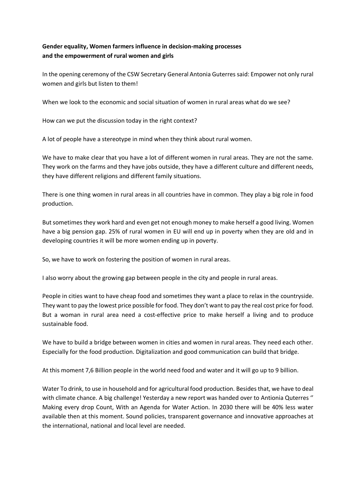## **Gender equality, Women farmers influence in decision-making processes and the empowerment of rural women and girls**

In the opening ceremony of the CSW Secretary General Antonia Guterres said: Empower not only rural women and girls but listen to them!

When we look to the economic and social situation of women in rural areas what do we see?

How can we put the discussion today in the right context?

A lot of people have a stereotype in mind when they think about rural women.

We have to make clear that you have a lot of different women in rural areas. They are not the same. They work on the farms and they have jobs outside, they have a different culture and different needs, they have different religions and different family situations.

There is one thing women in rural areas in all countries have in common. They play a big role in food production.

But sometimes they work hard and even get not enough money to make herself a good living. Women have a big pension gap. 25% of rural women in EU will end up in poverty when they are old and in developing countries it will be more women ending up in poverty.

So, we have to work on fostering the position of women in rural areas.

I also worry about the growing gap between people in the city and people in rural areas.

People in cities want to have cheap food and sometimes they want a place to relax in the countryside. They want to pay the lowest price possible for food. They don't want to pay the real cost price for food. But a woman in rural area need a cost-effective price to make herself a living and to produce sustainable food.

We have to build a bridge between women in cities and women in rural areas. They need each other. Especially for the food production. Digitalization and good communication can build that bridge.

At this moment 7,6 Billion people in the world need food and water and it will go up to 9 billion.

Water To drink, to use in household and for agricultural food production. Besides that, we have to deal with climate chance. A big challenge! Yesterday a new report was handed over to Antionia Quterres '' Making every drop Count, With an Agenda for Water Action. In 2030 there will be 40% less water available then at this moment. Sound policies, transparent governance and innovative approaches at the international, national and local level are needed.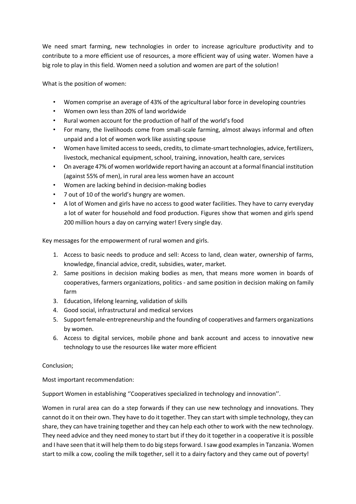We need smart farming, new technologies in order to increase agriculture productivity and to contribute to a more efficient use of resources, a more efficient way of using water. Women have a big role to play in this field. Women need a solution and women are part of the solution!

What is the position of women:

- Women comprise an average of 43% of the agricultural labor force in developing countries
- Women own less than 20% of land worldwide
- Rural women account for the production of half of the world's food
- For many, the livelihoods come from small-scale farming, almost always informal and often unpaid and a lot of women work like assisting spouse
- Women have limited access to seeds, credits, to climate-smart technologies, advice, fertilizers, livestock, mechanical equipment, school, training, innovation, health care, services
- On average 47% of women worldwide report having an account at a formal financial institution (against 55% of men), in rural area less women have an account
- Women are lacking behind in decision-making bodies
- 7 out of 10 of the world's hungry are women.
- A lot of Women and girls have no access to good water facilities. They have to carry everyday a lot of water for household and food production. Figures show that women and girls spend 200 million hours a day on carrying water! Every single day.

Key messages for the empowerment of rural women and girls.

- 1. Access to basic needs to produce and sell: Access to land, clean water, ownership of farms, knowledge, financial advice, credit, subsidies, water, market.
- 2. Same positions in decision making bodies as men, that means more women in boards of cooperatives, farmers organizations, politics - and same position in decision making on family farm
- 3. Education, lifelong learning, validation of skills
- 4. Good social, infrastructural and medical services
- 5. Support female-entrepreneurship and the founding of cooperatives and farmers organizations by women.
- 6. Access to digital services, mobile phone and bank account and access to innovative new technology to use the resources like water more efficient

## Conclusion;

Most important recommendation:

Support Women in establishing ''Cooperatives specialized in technology and innovation''.

Women in rural area can do a step forwards if they can use new technology and innovations. They cannot do it on their own. They have to do it together. They can start with simple technology, they can share, they can have training together and they can help each other to work with the new technology. They need advice and they need money to start but if they do it together in a cooperative it is possible and I have seen that it will help them to do big steps forward. I saw good examples in Tanzania. Women start to milk a cow, cooling the milk together, sell it to a dairy factory and they came out of poverty!